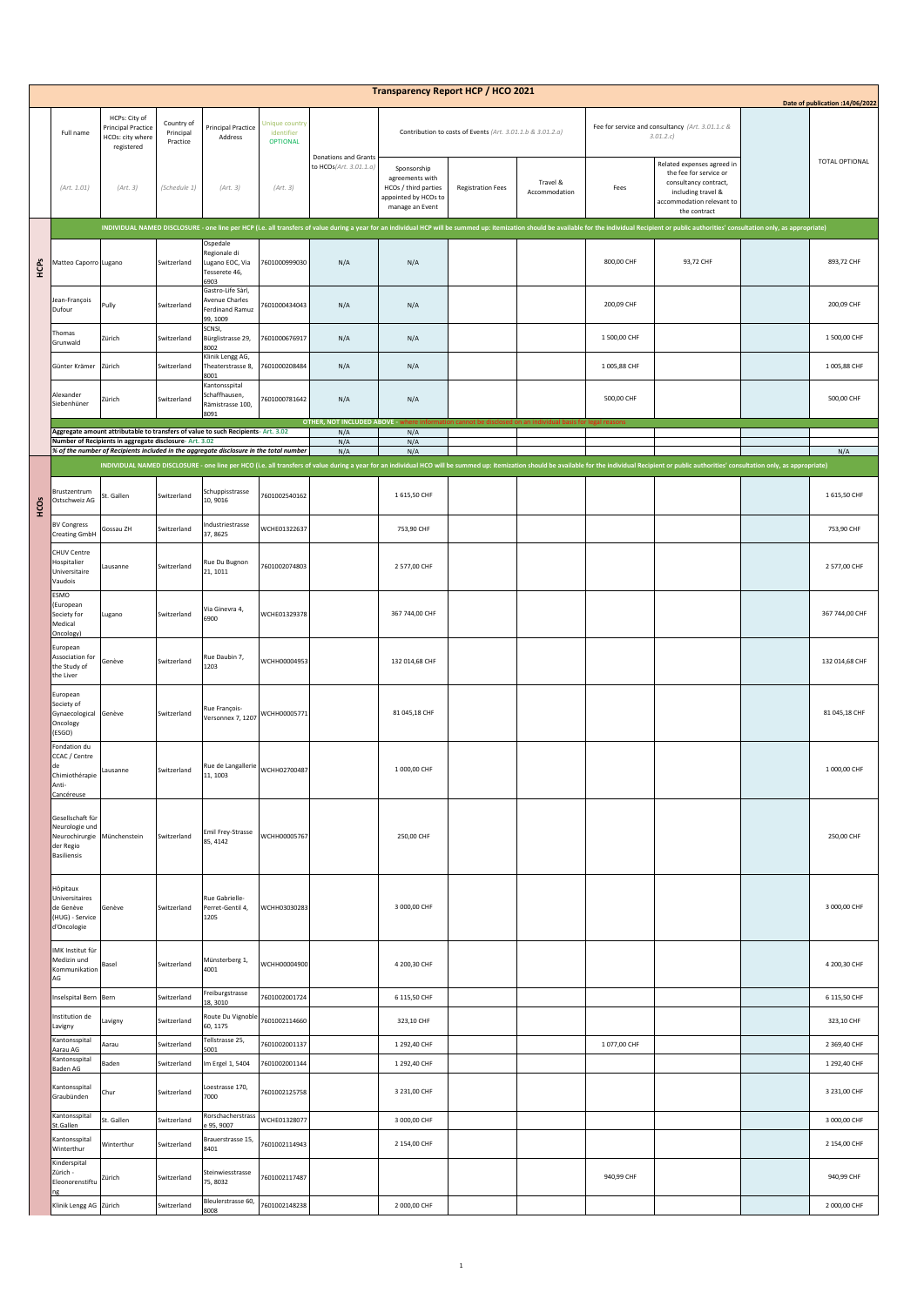| <b>Transparency Report HCP / HCO 2021</b><br>Date of publication : 14/06/2022 |                                                                                                                                                   |                                                                              |                                     |                                                                      |                                                 |                                       |                                                                                                   |                          |                           |              |                                                                                                                                                                                                                                |  |                |
|-------------------------------------------------------------------------------|---------------------------------------------------------------------------------------------------------------------------------------------------|------------------------------------------------------------------------------|-------------------------------------|----------------------------------------------------------------------|-------------------------------------------------|---------------------------------------|---------------------------------------------------------------------------------------------------|--------------------------|---------------------------|--------------|--------------------------------------------------------------------------------------------------------------------------------------------------------------------------------------------------------------------------------|--|----------------|
|                                                                               | Full name                                                                                                                                         | HCPs: City of<br><b>Principal Practice</b><br>HCOs: city where<br>registered | Country of<br>Principal<br>Practice | <b>Principal Practice</b><br>Address                                 | Unique country<br>identifier<br><b>OPTIONAL</b> | <b>Donations and Grants</b>           | Contribution to costs of Events (Art. 3.01.1.b & 3.01.2.a)                                        |                          |                           |              | Fee for service and consultancy (Art. 3.01.1.c &<br>3.01.2.c                                                                                                                                                                   |  |                |
|                                                                               | (Art. 1.01)                                                                                                                                       | (Art. 3)                                                                     | (Schedule 1)                        | (Art. 3)                                                             | (Art. 3)                                        | to HCOs(Art. 3.01.1.a)                | Sponsorship<br>agreements with<br>HCOs / third parties<br>appointed by HCOs to<br>manage an Event | <b>Registration Fees</b> | Travel &<br>Accommodation | Fees         | Related expenses agreed in<br>the fee for service or<br>consultancy contract,<br>including travel &<br>accommodation relevant to<br>the contract                                                                               |  | TOTAL OPTIONAL |
| НCPS                                                                          |                                                                                                                                                   |                                                                              |                                     |                                                                      |                                                 |                                       |                                                                                                   |                          |                           |              | INDIVIDUAL NAMED DISCLOSURE - one line per HCP (i.e. all transfers of value during a year for an individual HCP will be summed up: itemization should be available for the individual Recipient or public authorities' consult |  |                |
|                                                                               | Matteo Caporro Lugano                                                                                                                             |                                                                              | Switzerland                         | Ospedale<br>Regionale di<br>Lugano EOC, Via<br>Tesserete 46,<br>6903 | 7601000999030                                   | N/A                                   | N/A                                                                                               |                          |                           | 800,00 CHF   | 93,72 CHF                                                                                                                                                                                                                      |  | 893,72 CHF     |
|                                                                               | Jean-François<br>Dufour                                                                                                                           | Pully                                                                        | Switzerland                         | Gastro-Life Sàrl,<br>Avenue Charles<br>Ferdinand Ramuz<br>99, 1009   | 7601000434043                                   | N/A                                   | N/A                                                                                               |                          |                           | 200,09 CHF   |                                                                                                                                                                                                                                |  | 200,09 CHF     |
|                                                                               | Thomas<br>Grunwald                                                                                                                                | Zürich                                                                       | Switzerland                         | SCNSI,<br>Bürglistrasse 29,                                          | 7601000676917                                   | N/A                                   | N/A                                                                                               |                          |                           | 1 500,00 CHF |                                                                                                                                                                                                                                |  | 1 500,00 CHF   |
|                                                                               | Günter Krämer                                                                                                                                     | Zürich                                                                       | Switzerland                         | 8002<br>Klinik Lengg AG,<br>Theaterstrasse 8,<br>8001                | 7601000208484                                   | N/A                                   | N/A                                                                                               |                          |                           | 1005,88 CHF  |                                                                                                                                                                                                                                |  | 1 005,88 CHF   |
|                                                                               | Alexander<br>Siebenhüner                                                                                                                          | Zürich                                                                       | Switzerland                         | Kantonsspital<br>Schaffhausen,<br>Rämistrasse 100,<br>8091           | 7601000781642                                   | N/A                                   | N/A                                                                                               |                          |                           | 500,00 CHF   |                                                                                                                                                                                                                                |  | 500,00 CHF     |
|                                                                               | Aggregate amount attributable to transfers of value to such Recipients- Art. 3.02                                                                 |                                                                              |                                     |                                                                      |                                                 | OTHER, NOT INCLUDED ABOVE - wl<br>N/A | N/A                                                                                               |                          |                           |              |                                                                                                                                                                                                                                |  |                |
|                                                                               | Number of Recipients in aggregate disclosure- Art. 3.02<br>% of the number of Recipients included in the aggregate disclosure in the total number |                                                                              |                                     |                                                                      |                                                 | N/A<br>N/A                            | N/A<br>N/A                                                                                        |                          |                           |              |                                                                                                                                                                                                                                |  | N/A            |
|                                                                               |                                                                                                                                                   |                                                                              |                                     |                                                                      |                                                 |                                       |                                                                                                   |                          |                           |              | INDIVIDUAL NAMED DISCLOSURE - one line per HCO (i.e. all transfers of value during a year for an individual HCO will be summed up: itemization should be available for the individual Recipient or public authorities' consult |  |                |
| еg                                                                            | Brustzentrum<br>Ostschweiz AG                                                                                                                     | St. Gallen                                                                   | Switzerland                         | Schuppisstrasse<br>10, 9016                                          | 7601002540162                                   |                                       | 1 615,50 CHF                                                                                      |                          |                           |              |                                                                                                                                                                                                                                |  | 1 615,50 CHF   |
|                                                                               | <b>BV Congress</b><br><b>Creating GmbH</b>                                                                                                        | Gossau ZH                                                                    | Switzerland                         | ndustriestrasse<br>37, 8625                                          | WCHE01322637                                    |                                       | 753,90 CHF                                                                                        |                          |                           |              |                                                                                                                                                                                                                                |  | 753,90 CHF     |
|                                                                               | CHUV Centre<br>Hospitalier<br>Universitaire<br>Vaudois                                                                                            | ausanne                                                                      | Switzerland                         | Rue Du Bugnon<br>21, 1011                                            | 7601002074803                                   |                                       | 2 577,00 CHF                                                                                      |                          |                           |              |                                                                                                                                                                                                                                |  | 2 577,00 CHF   |
|                                                                               | ESMO<br>(European<br>Society for<br>Medical<br>Oncology)                                                                                          | Lugano                                                                       | Switzerland                         | Via Ginevra 4,<br>6900                                               | WCHE01329378                                    |                                       | 367 744,00 CHF                                                                                    |                          |                           |              |                                                                                                                                                                                                                                |  | 367 744,00 CHF |
|                                                                               | European<br>Association for<br>the Study of<br>the Liver                                                                                          | Genève                                                                       | Switzerland                         | Rue Daubin 7,<br>1203                                                | WCHH00004953                                    |                                       | 132 014,68 CHF                                                                                    |                          |                           |              |                                                                                                                                                                                                                                |  | 132 014,68 CHF |
|                                                                               | European<br>Society of<br>Gynaecological<br>Oncology<br>(ESGO)                                                                                    | Genève                                                                       | Switzerland                         | Rue François-<br>Versonnex 7, 1207                                   | WCHH00005771                                    |                                       | 81 045,18 CHF                                                                                     |                          |                           |              |                                                                                                                                                                                                                                |  | 81 045,18 CHF  |
|                                                                               | Fondation du<br>CCAC / Centre<br>de<br>Chimiothérapie<br>Anti-<br>Cancéreuse                                                                      | Lausanne                                                                     | Switzerland                         | Rue de Langallerie WCHH02700487<br>11, 1003                          |                                                 |                                       | 1 000,00 CHF                                                                                      |                          |                           |              |                                                                                                                                                                                                                                |  | 1 000,00 CHF   |
|                                                                               | Gesellschaft für<br>Neurologie und<br>Neurochirurgie<br>der Regio<br><b>Basiliensis</b>                                                           | Münchenstein                                                                 | Switzerland                         | Emil Frey-Strasse<br>85, 4142                                        | WCHH00005767                                    |                                       | 250,00 CHF                                                                                        |                          |                           |              |                                                                                                                                                                                                                                |  | 250,00 CHF     |
|                                                                               | Hôpitaux<br>Universitaires<br>de Genève<br>(HUG) - Service<br>d'Oncologie                                                                         | Genève                                                                       | Switzerland                         | Rue Gabrielle-<br>Perret-Gentil 4,<br>1205                           | WCHH03030283                                    |                                       | 3 000,00 CHF                                                                                      |                          |                           |              |                                                                                                                                                                                                                                |  | 3 000,00 CHF   |
|                                                                               | MK Institut für<br>Medizin und<br>Kommunikation<br>AG                                                                                             | Basel                                                                        | Switzerland                         | Münsterberg 1,<br>4001                                               | WCHH00004900                                    |                                       | 4 200,30 CHF                                                                                      |                          |                           |              |                                                                                                                                                                                                                                |  | 4 200,30 CHF   |
|                                                                               | Inselspital Bern                                                                                                                                  | Bern                                                                         | Switzerland                         | Freiburgstrasse<br>18, 3010                                          | 7601002001724                                   |                                       | 6 115,50 CHF                                                                                      |                          |                           |              |                                                                                                                                                                                                                                |  | 6 115,50 CHF   |
|                                                                               | Institution de<br>Lavigny                                                                                                                         | Lavigny                                                                      | Switzerland                         | Route Du Vignoble<br>60, 1175                                        | 7601002114660                                   |                                       | 323,10 CHF                                                                                        |                          |                           |              |                                                                                                                                                                                                                                |  | 323,10 CHF     |
|                                                                               | Kantonsspital<br>Aarau AG                                                                                                                         | Aarau                                                                        | Switzerland                         | Tellstrasse 25,<br>5001                                              | 7601002001137                                   |                                       | 1 292,40 CHF                                                                                      |                          |                           | 1077,00 CHF  |                                                                                                                                                                                                                                |  | 2 369,40 CHF   |
|                                                                               | Kantonsspital<br>Baden AG                                                                                                                         | Baden                                                                        | Switzerland                         | m Ergel 1, 5404                                                      | 7601002001144                                   |                                       | 1 292,40 CHF                                                                                      |                          |                           |              |                                                                                                                                                                                                                                |  | 1 292,40 CHF   |
|                                                                               | Kantonsspital<br>Graubünden                                                                                                                       | Chur                                                                         | Switzerland                         | oestrasse 170,<br>7000                                               | 7601002125758                                   |                                       | 3 231,00 CHF                                                                                      |                          |                           |              |                                                                                                                                                                                                                                |  | 3 231,00 CHF   |
|                                                                               | Kantonsspital<br>St.Gallen                                                                                                                        | St. Gallen                                                                   | Switzerland                         | Rorschacherstrass<br>95, 9007                                        | WCHE01328077                                    |                                       | 3 000,00 CHF                                                                                      |                          |                           |              |                                                                                                                                                                                                                                |  | 3 000,00 CHF   |
|                                                                               | Kantonsspital<br>Winterthur                                                                                                                       | Winterthur                                                                   | Switzerland                         | Brauerstrasse 15,<br>8401                                            | 7601002114943                                   |                                       | 2 154,00 CHF                                                                                      |                          |                           |              |                                                                                                                                                                                                                                |  | 2 154,00 CHF   |
|                                                                               | Kinderspital<br>Zürich -<br>Eleonorenstiftu                                                                                                       | Zürich                                                                       | Switzerland                         | Steinwiesstrasse<br>75, 8032                                         | 7601002117487                                   |                                       |                                                                                                   |                          |                           | 940,99 CHF   |                                                                                                                                                                                                                                |  | 940,99 CHF     |
|                                                                               | Klinik Lengg AG Zürich                                                                                                                            |                                                                              | Switzerland                         | Bleulerstrasse 60,<br>8008                                           | 601002148238                                    |                                       | 2 000,00 CHF                                                                                      |                          |                           |              |                                                                                                                                                                                                                                |  | 2 000,00 CHF   |